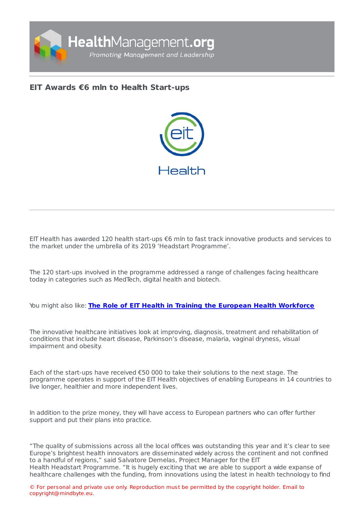

## **EIT Awards €6 mln to Health [Start-ups](https://healthmanagement.org/s/eit-awards-eur6-mln-to-health-start-ups)**



EIT Health has awarded 120 health start-ups €6 mln to fast track innovative products and services to the market under the umbrella of its 2019 'Headstart Programme'.

The 120 start-ups involved in the programme addressed a range of challenges facing healthcare today in categories such as MedTech, digital health and biotech.

## You might also like: **The Role of EIT Health in Training the European Health [Workforce](https://healthmanagement.org/c/healthmanagement/issuearticle/the-role-of-eit-health-in-training-the-european-health-workforce)**

The innovative healthcare initiatives look at improving, diagnosis, treatment and rehabilitation of conditions that include heart disease, Parkinson's disease, malaria, vaginal dryness, visual impairment and obesity.

Each of the start-ups have received  $\epsilon$ 50 000 to take their solutions to the next stage. The programme operates in support of the EIT Health objectives of enabling Europeans in 14 countries to live longer, healthier and more independent lives.

In addition to the prize money, they will have access to European partners who can offer further support and put their plans into practice.

"The quality of submissions across all the local offices was outstanding this year and it's clear to see Europe's brightest health innovators are disseminated widely across the continent and not confined to a handful of regions," said Salvatore Demelas, Project Manager for the EIT Health Headstart Programme. "It is hugely exciting that we are able to support a wide expanse of healthcare challenges with the funding, from innovations using the latest in health technology to find

© For personal and private use only. Reproduction must be permitted by the copyright holder. Email to copyright@mindbyte.eu.